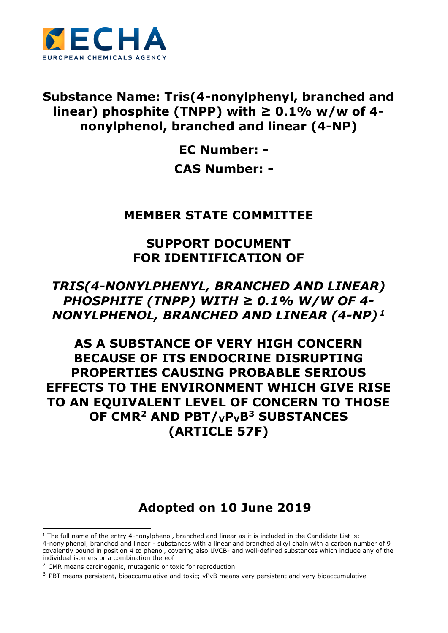

## **Substance Name: Tris(4-nonylphenyl, branched and linear) phosphite (TNPP) with ≥ 0.1% w/w of 4 nonylphenol, branched and linear (4-NP)**

**EC Number: - CAS Number: -**

## **MEMBER STATE COMMITTEE**

## **SUPPORT DOCUMENT FOR IDENTIFICATION OF**

## *TRIS(4-NONYLPHENYL, BRANCHED AND LINEAR) PHOSPHITE (TNPP) WITH ≥ 0.1% W/W OF 4- NONYLPHENOL, BRANCHED AND LINEAR (4-NP) <sup>1</sup>*

# **AS A SUBSTANCE OF VERY HIGH CONCERN BECAUSE OF ITS ENDOCRINE DISRUPTING PROPERTIES CAUSING PROBABLE SERIOUS EFFECTS TO THE ENVIRONMENT WHICH GIVE RISE TO AN EQUIVALENT LEVEL OF CONCERN TO THOSE OF CMR<sup>2</sup> AND PBT/VPVB<sup>3</sup> SUBSTANCES (ARTICLE 57F)**

# **Adopted on 10 June 2019**

<sup>-</sup> $1$  The full name of the entry 4-nonylphenol, branched and linear as it is included in the Candidate List is: 4-nonylphenol, branched and linear - substances with a linear and branched alkyl chain with a carbon number of 9 covalently bound in position 4 to phenol, covering also UVCB- and well-defined substances which include any of the individual isomers or a combination thereof

<sup>&</sup>lt;sup>2</sup> CMR means carcinogenic, mutagenic or toxic for reproduction

 $3$  PBT means persistent, bioaccumulative and toxic; vPvB means very persistent and very bioaccumulative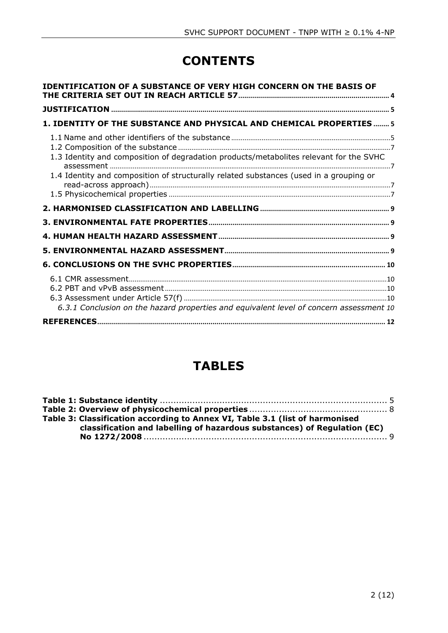# **CONTENTS**

| <b>IDENTIFICATION OF A SUBSTANCE OF VERY HIGH CONCERN ON THE BASIS OF</b>                                                                                                        |  |
|----------------------------------------------------------------------------------------------------------------------------------------------------------------------------------|--|
|                                                                                                                                                                                  |  |
| 1. IDENTITY OF THE SUBSTANCE AND PHYSICAL AND CHEMICAL PROPERTIES  5                                                                                                             |  |
| 1.3 Identity and composition of degradation products/metabolites relevant for the SVHC<br>1.4 Identity and composition of structurally related substances (used in a grouping or |  |
|                                                                                                                                                                                  |  |
|                                                                                                                                                                                  |  |
|                                                                                                                                                                                  |  |
|                                                                                                                                                                                  |  |
|                                                                                                                                                                                  |  |
|                                                                                                                                                                                  |  |
| 6.3.1 Conclusion on the hazard properties and equivalent level of concern assessment 10                                                                                          |  |
|                                                                                                                                                                                  |  |

# **TABLES**

| Table 3: Classification according to Annex VI, Table 3.1 (list of harmonised<br>classification and labelling of hazardous substances) of Regulation (EC) |  |
|----------------------------------------------------------------------------------------------------------------------------------------------------------|--|
|                                                                                                                                                          |  |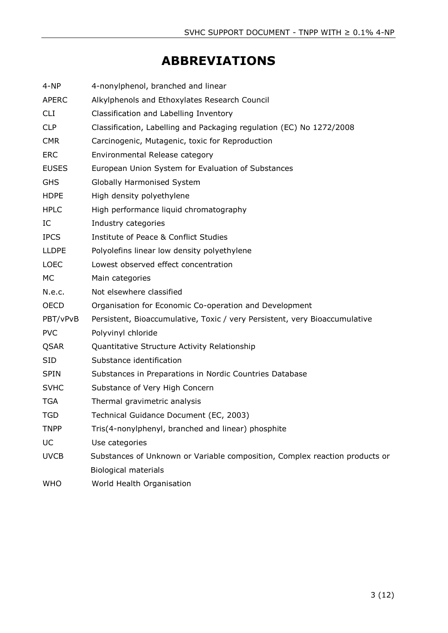# **ABBREVIATIONS**

| $4-NP$       | 4-nonylphenol, branched and linear                                          |
|--------------|-----------------------------------------------------------------------------|
| <b>APERC</b> | Alkylphenols and Ethoxylates Research Council                               |
| <b>CLI</b>   | Classification and Labelling Inventory                                      |
| <b>CLP</b>   | Classification, Labelling and Packaging regulation (EC) No 1272/2008        |
| <b>CMR</b>   | Carcinogenic, Mutagenic, toxic for Reproduction                             |
| <b>ERC</b>   | Environmental Release category                                              |
| <b>EUSES</b> | European Union System for Evaluation of Substances                          |
| <b>GHS</b>   | Globally Harmonised System                                                  |
| <b>HDPE</b>  | High density polyethylene                                                   |
| <b>HPLC</b>  | High performance liquid chromatography                                      |
| IC           | Industry categories                                                         |
| <b>IPCS</b>  | Institute of Peace & Conflict Studies                                       |
| <b>LLDPE</b> | Polyolefins linear low density polyethylene                                 |
| <b>LOEC</b>  | Lowest observed effect concentration                                        |
| <b>MC</b>    | Main categories                                                             |
| N.e.c.       | Not elsewhere classified                                                    |
| <b>OECD</b>  | Organisation for Economic Co-operation and Development                      |
| PBT/vPvB     | Persistent, Bioaccumulative, Toxic / very Persistent, very Bioaccumulative  |
| <b>PVC</b>   | Polyvinyl chloride                                                          |
| QSAR         | Quantitative Structure Activity Relationship                                |
| <b>SID</b>   | Substance identification                                                    |
| <b>SPIN</b>  | Substances in Preparations in Nordic Countries Database                     |
| <b>SVHC</b>  | Substance of Very High Concern                                              |
| <b>TGA</b>   | Thermal gravimetric analysis                                                |
| TGD          | Technical Guidance Document (EC, 2003)                                      |
| <b>TNPP</b>  | Tris(4-nonylphenyl, branched and linear) phosphite                          |
| UC           | Use categories                                                              |
| <b>UVCB</b>  | Substances of Unknown or Variable composition, Complex reaction products or |
|              | <b>Biological materials</b>                                                 |
| <b>WHO</b>   | World Health Organisation                                                   |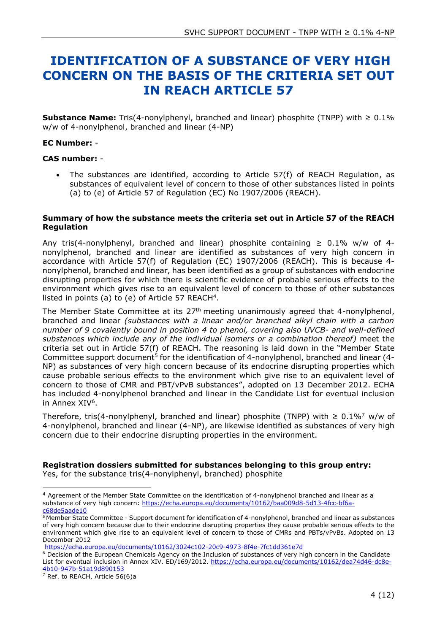## <span id="page-3-0"></span>**IDENTIFICATION OF A SUBSTANCE OF VERY HIGH CONCERN ON THE BASIS OF THE CRITERIA SET OUT IN REACH ARTICLE 57**

**Substance Name:** Tris(4-nonylphenyl, branched and linear) phosphite (TNPP) with ≥ 0.1% w/w of 4-nonylphenol, branched and linear (4-NP)

#### **EC Number:** -

#### **CAS number:** -

 The substances are identified, according to Article 57(f) of REACH Regulation, as substances of equivalent level of concern to those of other substances listed in points (a) to (e) of Article 57 of Regulation (EC) No 1907/2006 (REACH).

#### **Summary of how the substance meets the criteria set out in Article 57 of the REACH Regulation**

Any tris(4-nonylphenyl, branched and linear) phosphite containing  $\geq 0.1\%$  w/w of 4nonylphenol, branched and linear are identified as substances of very high concern in accordance with Article 57(f) of Regulation (EC) 1907/2006 (REACH). This is because 4 nonylphenol, branched and linear, has been identified as a group of substances with endocrine disrupting properties for which there is scientific evidence of probable serious effects to the environment which gives rise to an equivalent level of concern to those of other substances listed in points (a) to (e) of Article 57 REACH<sup>4</sup>.

The Member State Committee at its 27<sup>th</sup> meeting unanimously agreed that 4-nonylphenol, branched and linear *(substances with a linear and/or branched alkyl chain with a carbon number of 9 covalently bound in position 4 to phenol, covering also UVCB- and well-defined substances which include any of the individual isomers or a combination thereof)* meet the criteria set out in Article 57(f) of REACH. The reasoning is laid down in the "Member State Committee support document<sup>5</sup> for the identification of 4-nonylphenol, branched and linear (4-NP) as substances of very high concern because of its endocrine disrupting properties which cause probable serious effects to the environment which give rise to an equivalent level of concern to those of CMR and PBT/vPvB substances", adopted on 13 December 2012. ECHA has included 4-nonylphenol branched and linear in the Candidate List for eventual inclusion in Annex XIV<sup>6</sup>.

Therefore, tris(4-nonylphenyl, branched and linear) phosphite (TNPP) with  $\geq 0.1\%$ <sup>7</sup> w/w of 4-nonylphenol, branched and linear (4-NP), are likewise identified as substances of very high concern due to their endocrine disrupting properties in the environment.

#### **Registration dossiers submitted for substances belonging to this group entry:**

Yes, for the substance tris(4-nonylphenyl, branched) phosphite

<https://echa.europa.eu/documents/10162/3024c102-20c9-4973-8f4e-7fc1dd361e7d>

<sup>6</sup> Decision of the European Chemicals Agency on the Inclusion of substances of very high concern in the Candidate List for eventual inclusion in Annex XIV. ED/169/2012. [https://echa.europa.eu/documents/10162/dea74d46-dc8e-](https://echa.europa.eu/documents/10162/dea74d46-dc8e-4b10-947b-51a19d890153)[4b10-947b-51a19d890153](https://echa.europa.eu/documents/10162/dea74d46-dc8e-4b10-947b-51a19d890153)

 $7$  Ref. to REACH, Article 56(6)a

-

<sup>4</sup> Agreement of the Member State Committee on the identification of 4-nonylphenol branched and linear as a substance of very high concern: [https://echa.europa.eu/documents/10162/baa009d8-5d13-4fcc-bf6a](https://echa.europa.eu/documents/10162/baa009d8-5d13-4fcc-bf6a-c68de5aade10)[c68de5aade10](https://echa.europa.eu/documents/10162/baa009d8-5d13-4fcc-bf6a-c68de5aade10)

<sup>5</sup> Member State Committee - Support document for identification of 4-nonylphenol, branched and linear as substances of very high concern because due to their endocrine disrupting properties they cause probable serious effects to the environment which give rise to an equivalent level of concern to those of CMRs and PBTs/vPvBs. Adopted on 13 December 2012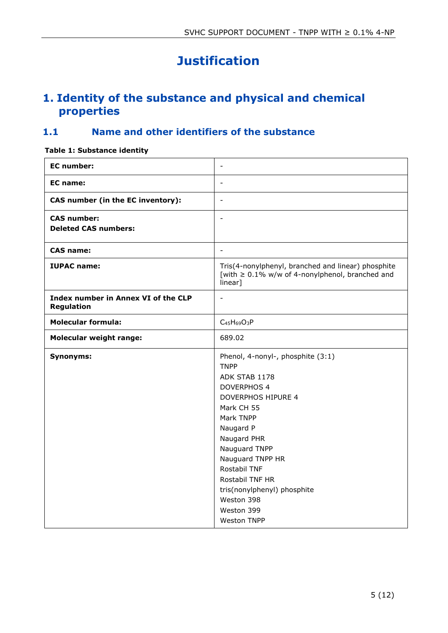# **Justification**

## <span id="page-4-1"></span><span id="page-4-0"></span>**1. Identity of the substance and physical and chemical properties**

### <span id="page-4-2"></span>**1.1 Name and other identifiers of the substance**

#### <span id="page-4-3"></span>**Table 1: Substance identity**

| <b>EC</b> number:                                 | $\overline{\phantom{a}}$                                                                                                                                                                                                                                                                                                             |
|---------------------------------------------------|--------------------------------------------------------------------------------------------------------------------------------------------------------------------------------------------------------------------------------------------------------------------------------------------------------------------------------------|
| <b>EC</b> name:                                   | $\sim$                                                                                                                                                                                                                                                                                                                               |
| CAS number (in the EC inventory):                 | $\overline{\phantom{a}}$                                                                                                                                                                                                                                                                                                             |
| <b>CAS number:</b><br><b>Deleted CAS numbers:</b> | $\overline{\phantom{a}}$                                                                                                                                                                                                                                                                                                             |
| <b>CAS name:</b>                                  | $\overline{\phantom{a}}$                                                                                                                                                                                                                                                                                                             |
| <b>IUPAC name:</b>                                | Tris(4-nonylphenyl, branched and linear) phosphite<br>[with $\geq$ 0.1% w/w of 4-nonylphenol, branched and<br>linear]                                                                                                                                                                                                                |
| Index number in Annex VI of the CLP<br>Regulation | $\blacksquare$                                                                                                                                                                                                                                                                                                                       |
| <b>Molecular formula:</b>                         | $C_{45}H_{69}O_3P$                                                                                                                                                                                                                                                                                                                   |
| <b>Molecular weight range:</b>                    | 689.02                                                                                                                                                                                                                                                                                                                               |
| <b>Synonyms:</b>                                  | Phenol, 4-nonyl-, phosphite (3:1)<br><b>TNPP</b><br>ADK STAB 1178<br><b>DOVERPHOS 4</b><br><b>DOVERPHOS HIPURE 4</b><br>Mark CH 55<br>Mark TNPP<br>Naugard P<br>Naugard PHR<br>Nauguard TNPP<br>Nauguard TNPP HR<br>Rostabil TNF<br>Rostabil TNF HR<br>tris(nonylphenyl) phosphite<br>Weston 398<br>Weston 399<br><b>Weston TNPP</b> |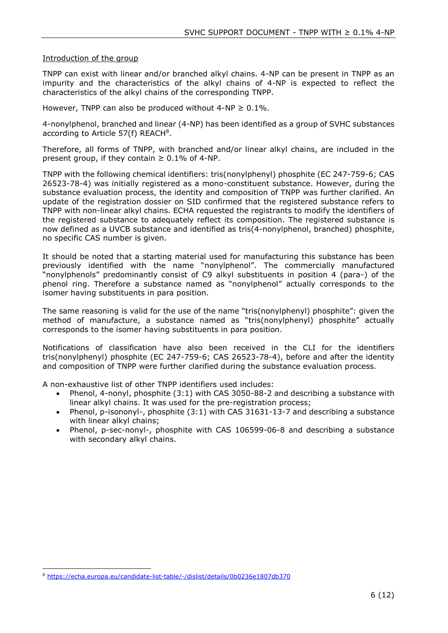#### Introduction of the group

TNPP can exist with linear and/or branched alkyl chains. 4-NP can be present in TNPP as an impurity and the characteristics of the alkyl chains of 4-NP is expected to reflect the characteristics of the alkyl chains of the corresponding TNPP.

However, TNPP can also be produced without  $4-NP \geq 0.1\%$ .

4-nonylphenol, branched and linear (4-NP) has been identified as a group of SVHC substances according to Article 57(f) REACH<sup>8</sup>.

Therefore, all forms of TNPP, with branched and/or linear alkyl chains, are included in the present group, if they contain  $\geq 0.1\%$  of 4-NP.

TNPP with the following chemical identifiers: tris(nonylphenyl) phosphite (EC 247-759-6; CAS 26523-78-4) was initially registered as a mono-constituent substance. However, during the substance evaluation process, the identity and composition of TNPP was further clarified. An update of the registration dossier on SID confirmed that the registered substance refers to TNPP with non-linear alkyl chains. ECHA requested the registrants to modify the identifiers of the registered substance to adequately reflect its composition. The registered substance is now defined as a UVCB substance and identified as tris(4-nonylphenol, branched) phosphite, no specific CAS number is given.

It should be noted that a starting material used for manufacturing this substance has been previously identified with the name "nonylphenol". The commercially manufactured "nonylphenols" predominantly consist of C9 alkyl substituents in position 4 (para-) of the phenol ring. Therefore a substance named as "nonylphenol" actually corresponds to the isomer having substituents in para position.

The same reasoning is valid for the use of the name "tris(nonylphenyl) phosphite": given the method of manufacture, a substance named as "tris(nonylphenyl) phosphite" actually corresponds to the isomer having substituents in para position.

Notifications of classification have also been received in the CLI for the identifiers tris(nonylphenyl) phosphite (EC 247-759-6; CAS 26523-78-4), before and after the identity and composition of TNPP were further clarified during the substance evaluation process.

A non-exhaustive list of other TNPP identifiers used includes:

- Phenol, 4-nonyl, phosphite (3:1) with CAS 3050-88-2 and describing a substance with linear alkyl chains. It was used for the pre-registration process;
- Phenol, p-isononyl-, phosphite (3:1) with CAS 31631-13-7 and describing a substance with linear alkyl chains;
- Phenol, p-sec-nonyl-, phosphite with CAS 106599-06-8 and describing a substance with secondary alkyl chains.

<sup>-</sup><sup>8</sup> <https://echa.europa.eu/candidate-list-table/-/dislist/details/0b0236e1807db370>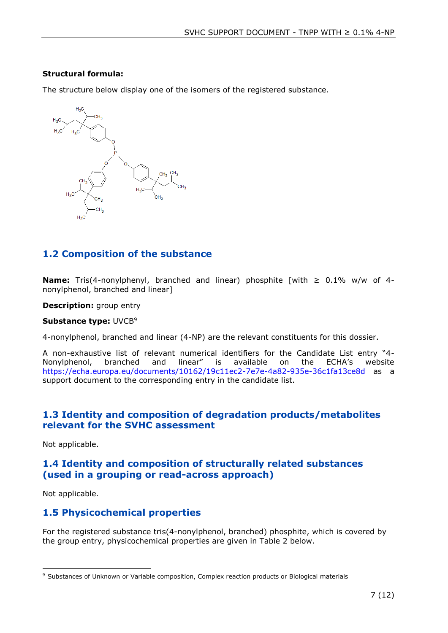#### **Structural formula:**

The structure below display one of the isomers of the registered substance.



### <span id="page-6-0"></span>**1.2 Composition of the substance**

**Name:** Tris(4-nonylphenyl, branched and linear) phosphite [with ≥ 0.1% w/w of 4 nonylphenol, branched and linear]

#### **Description:** group entry

#### **Substance type: UVCB<sup>9</sup>**

4-nonylphenol, branched and linear (4-NP) are the relevant constituents for this dossier.

A non-exhaustive list of relevant numerical identifiers for the Candidate List entry "4- Nonylphenol, branched and linear" is available on the ECHA's website <https://echa.europa.eu/documents/10162/19c11ec2-7e7e-4a82-935e-36c1fa13ce8d> as a support document to the corresponding entry in the candidate list.

### <span id="page-6-1"></span>**1.3 Identity and composition of degradation products/metabolites relevant for the SVHC assessment**

Not applicable.

### <span id="page-6-2"></span>**1.4 Identity and composition of structurally related substances (used in a grouping or read-across approach)**

Not applicable.

### <span id="page-6-3"></span>**1.5 Physicochemical properties**

For the registered substance tris(4-nonylphenol, branched) phosphite, which is covered by the group entry, physicochemical properties are given in Table 2 below.

<sup>-</sup><sup>9</sup> Substances of Unknown or Variable composition, Complex reaction products or Biological materials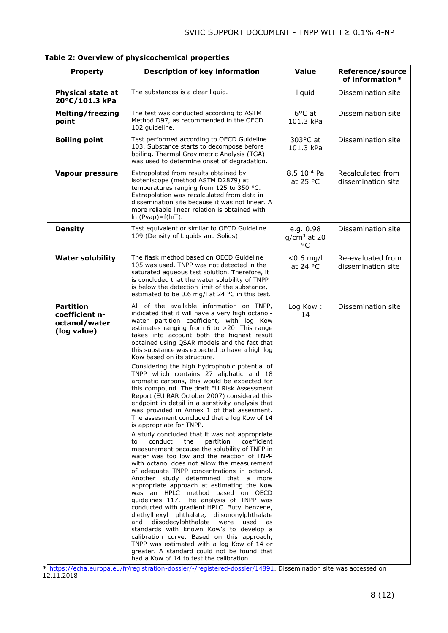| <b>Property</b>                                                    | <b>Description of key information</b>                                                                                                                                                                                                                                                                                                                                                                                                                                                                                                                                                                                                                                                                                                                                                                                                                                                                                                                                                                                                                                                                                                                                                                                                                                                                                                                                                                                                                                                                                                                                                                                                                       | <b>Value</b>                        | Reference/source<br>of information*     |  |  |
|--------------------------------------------------------------------|-------------------------------------------------------------------------------------------------------------------------------------------------------------------------------------------------------------------------------------------------------------------------------------------------------------------------------------------------------------------------------------------------------------------------------------------------------------------------------------------------------------------------------------------------------------------------------------------------------------------------------------------------------------------------------------------------------------------------------------------------------------------------------------------------------------------------------------------------------------------------------------------------------------------------------------------------------------------------------------------------------------------------------------------------------------------------------------------------------------------------------------------------------------------------------------------------------------------------------------------------------------------------------------------------------------------------------------------------------------------------------------------------------------------------------------------------------------------------------------------------------------------------------------------------------------------------------------------------------------------------------------------------------------|-------------------------------------|-----------------------------------------|--|--|
| <b>Physical state at</b><br>20°C/101.3 kPa                         | The substances is a clear liquid.                                                                                                                                                                                                                                                                                                                                                                                                                                                                                                                                                                                                                                                                                                                                                                                                                                                                                                                                                                                                                                                                                                                                                                                                                                                                                                                                                                                                                                                                                                                                                                                                                           | liquid                              | Dissemination site                      |  |  |
| <b>Melting/freezing</b><br>point                                   | The test was conducted according to ASTM<br>Method D97, as recommended in the OECD<br>102 quideline.                                                                                                                                                                                                                                                                                                                                                                                                                                                                                                                                                                                                                                                                                                                                                                                                                                                                                                                                                                                                                                                                                                                                                                                                                                                                                                                                                                                                                                                                                                                                                        | 6°C at<br>101.3 kPa                 | Dissemination site                      |  |  |
| <b>Boiling point</b>                                               | Test performed according to OECD Guideline<br>103. Substance starts to decompose before<br>boiling. Thermal Gravimetric Analysis (TGA)<br>was used to determine onset of degradation.                                                                                                                                                                                                                                                                                                                                                                                                                                                                                                                                                                                                                                                                                                                                                                                                                                                                                                                                                                                                                                                                                                                                                                                                                                                                                                                                                                                                                                                                       | 303°C at<br>101.3 kPa               | Dissemination site                      |  |  |
| <b>Vapour pressure</b>                                             | Extrapolated from results obtained by<br>isoteniscope (method ASTM D2879) at<br>temperatures ranging from 125 to 350 °C.<br>Extrapolation was recalculated from data in<br>dissemination site because it was not linear. A<br>more reliable linear relation is obtained with<br>In $(Pvap)=f(lnT)$ .                                                                                                                                                                                                                                                                                                                                                                                                                                                                                                                                                                                                                                                                                                                                                                                                                                                                                                                                                                                                                                                                                                                                                                                                                                                                                                                                                        | 8.5 10 <sup>-4</sup> Pa<br>at 25 °C | Recalculated from<br>dissemination site |  |  |
| <b>Density</b>                                                     | Test equivalent or similar to OECD Guideline<br>109 (Density of Liquids and Solids)                                                                                                                                                                                                                                                                                                                                                                                                                                                                                                                                                                                                                                                                                                                                                                                                                                                                                                                                                                                                                                                                                                                                                                                                                                                                                                                                                                                                                                                                                                                                                                         | e.g. 0.98<br>$q/cm3$ at 20<br>°C    | Dissemination site                      |  |  |
| <b>Water solubility</b>                                            | The flask method based on OECD Guideline<br>105 was used. TNPP was not detected in the<br>saturated aqueous test solution. Therefore, it<br>is concluded that the water solubility of TNPP<br>is below the detection limit of the substance,<br>estimated to be 0.6 mg/l at 24 °C in this test.                                                                                                                                                                                                                                                                                                                                                                                                                                                                                                                                                                                                                                                                                                                                                                                                                                                                                                                                                                                                                                                                                                                                                                                                                                                                                                                                                             | $< 0.6$ mg/l<br>at 24 $\degree$ C   | Re-evaluated from<br>dissemination site |  |  |
| <b>Partition</b><br>coefficient n-<br>octanol/water<br>(log value) | All of the available information on TNPP,<br>indicated that it will have a very high octanol-<br>water partition coefficient, with log Kow<br>estimates ranging from 6 to >20. This range<br>takes into account both the highest result<br>obtained using QSAR models and the fact that<br>this substance was expected to have a high log<br>Kow based on its structure.<br>Considering the high hydrophobic potential of<br>TNPP which contains 27 aliphatic and 18<br>aromatic carbons, this would be expected for<br>this compound. The draft EU Risk Assessment<br>Report (EU RAR October 2007) considered this<br>endpoint in detail in a senstivity analysis that<br>was provided in Annex 1 of that assesment.<br>The assesment concluded that a log Kow of 14<br>is appropriate for TNPP.<br>A study concluded that it was not appropriate<br>conduct<br>the<br>partition<br>coefficient<br>to<br>measurement because the solubility of TNPP in<br>water was too low and the reaction of TNPP<br>with octanol does not allow the measurement<br>of adequate TNPP concentrations in octanol.<br>Another study determined that a more<br>appropriate approach at estimating the Kow<br>was an HPLC method based on OECD<br>guidelines 117. The analysis of TNPP was<br>conducted with gradient HPLC. Butyl benzene,<br>diethylhexyl phthalate, diisononylphthalate<br>diisodecylphthalate were<br>and<br>used<br>as<br>standards with known Kow's to develop a<br>calibration curve. Based on this approach,<br>TNPP was estimated with a log Kow of 14 or<br>greater. A standard could not be found that<br>had a Kow of 14 to test the calibration. | Log Kow:<br>14                      | Dissemination site                      |  |  |

<span id="page-7-0"></span>**Table 2: Overview of physicochemical properties**

**\*** [https://echa.europa.eu/fr/registration-dossier/-/registered-dossier/14891.](https://echa.europa.eu/fr/registration-dossier/-/registered-dossier/14891) Dissemination site was accessed on 12.11.2018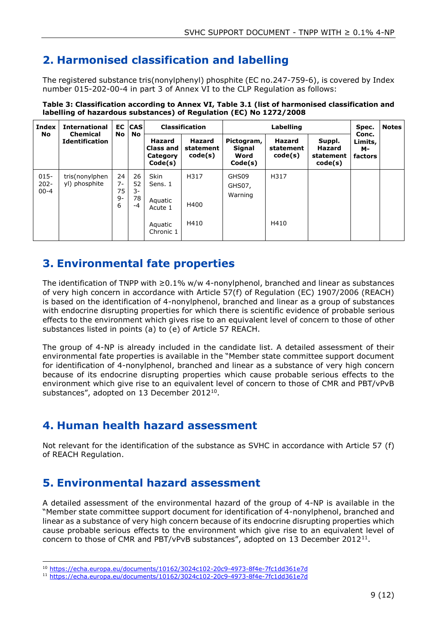## <span id="page-8-0"></span>**2. Harmonised classification and labelling**

The registered substance tris(nonylphenyl) phosphite (EC no.247-759-6), is covered by Index number 015-202-00-4 in part 3 of Annex VI to the CLP Regulation as follows:

| <b>Index</b><br>No             | <b>International</b><br><b>Chemical</b><br><b>Identification</b> | <b>EC</b><br><b>No</b>      | <b>CAS</b><br>No             | <b>Classification</b>                                                |                                       | Labelling                                      |                                       |                                                 | Spec.                             | <b>Notes</b> |
|--------------------------------|------------------------------------------------------------------|-----------------------------|------------------------------|----------------------------------------------------------------------|---------------------------------------|------------------------------------------------|---------------------------------------|-------------------------------------------------|-----------------------------------|--------------|
|                                |                                                                  |                             |                              | Hazard<br><b>Class and</b><br>Category<br>Code(s)                    | <b>Hazard</b><br>statement<br>code(s) | Pictogram,<br><b>Signal</b><br>Word<br>Code(s) | <b>Hazard</b><br>statement<br>code(s) | Suppl.<br><b>Hazard</b><br>statement<br>code(s) | Conc.<br>Limits,<br>м-<br>factors |              |
| $015 -$<br>$202 -$<br>$00 - 4$ | tris(nonylphen<br>yl) phosphite                                  | 24<br>7-<br>75<br>$9-$<br>6 | 26<br>52<br>3-<br>78<br>$-4$ | <b>Skin</b><br>Sens. 1<br>Aquatic<br>Acute 1<br>Aquatic<br>Chronic 1 | H317<br>H400<br>H410                  | GHS09<br>GHS07,<br>Warning                     | H317<br>H410                          |                                                 |                                   |              |

<span id="page-8-4"></span>**Table 3: Classification according to Annex VI, Table 3.1 (list of harmonised classification and labelling of hazardous substances) of Regulation (EC) No 1272/2008**

## <span id="page-8-1"></span>**3. Environmental fate properties**

The identification of TNPP with ≥0.1% w/w 4-nonylphenol, branched and linear as substances of very high concern in accordance with Article 57(f) of Regulation (EC) 1907/2006 (REACH) is based on the identification of 4-nonylphenol, branched and linear as a group of substances with endocrine disrupting properties for which there is scientific evidence of probable serious effects to the environment which gives rise to an equivalent level of concern to those of other substances listed in points (a) to (e) of Article 57 REACH.

The group of 4-NP is already included in the candidate list. A detailed assessment of their environmental fate properties is available in the "Member state committee support document for identification of 4-nonylphenol, branched and linear as a substance of very high concern because of its endocrine disrupting properties which cause probable serious effects to the environment which give rise to an equivalent level of concern to those of CMR and PBT/vPvB substances", adopted on 13 December 2012<sup>10</sup>.

## <span id="page-8-2"></span>**4. Human health hazard assessment**

Not relevant for the identification of the substance as SVHC in accordance with Article 57 (f) of REACH Regulation.

## <span id="page-8-3"></span>**5. Environmental hazard assessment**

-

A detailed assessment of the environmental hazard of the group of 4-NP is available in the "Member state committee support document for identification of 4-nonylphenol, branched and linear as a substance of very high concern because of its endocrine disrupting properties which cause probable serious effects to the environment which give rise to an equivalent level of concern to those of CMR and PBT/vPvB substances", adopted on 13 December 2012<sup>11</sup>.

<sup>10</sup> <https://echa.europa.eu/documents/10162/3024c102-20c9-4973-8f4e-7fc1dd361e7d>

<sup>11</sup> <https://echa.europa.eu/documents/10162/3024c102-20c9-4973-8f4e-7fc1dd361e7d>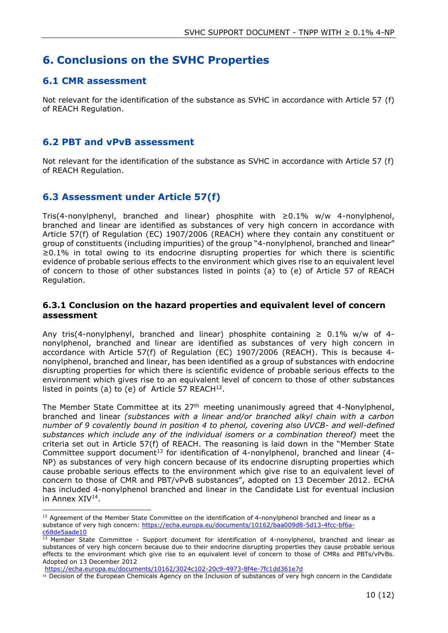### <span id="page-9-0"></span>**6. Conclusions on the SVHC Properties**

### <span id="page-9-1"></span>**6.1 CMR assessment**

Not relevant for the identification of the substance as SVHC in accordance with Article 57 (f) of REACH Regulation.

### <span id="page-9-2"></span>**6.2 PBT and vPvB assessment**

Not relevant for the identification of the substance as SVHC in accordance with Article 57 (f) of REACH Regulation.

### <span id="page-9-3"></span>**6.3 Assessment under Article 57(f)**

Tris(4-nonylphenyl, branched and linear) phosphite with  $\geq 0.1\%$  w/w 4-nonylphenol, branched and linear are identified as substances of very high concern in accordance with Article 57(f) of Regulation (EC) 1907/2006 (REACH) where they contain any constituent or group of constituents (including impurities) of the group "4-nonylphenol, branched and linear" ≥0.1% in total owing to its endocrine disrupting properties for which there is scientific evidence of probable serious effects to the environment which gives rise to an equivalent level of concern to those of other substances listed in points (a) to (e) of Article 57 of REACH Regulation.

#### <span id="page-9-4"></span>**6.3.1 Conclusion on the hazard properties and equivalent level of concern assessment**

Any tris(4-nonylphenyl, branched and linear) phosphite containing  $\geq 0.1\%$  w/w of 4nonylphenol, branched and linear are identified as substances of very high concern in accordance with Article 57(f) of Regulation (EC) 1907/2006 (REACH). This is because 4 nonylphenol, branched and linear, has been identified as a group of substances with endocrine disrupting properties for which there is scientific evidence of probable serious effects to the environment which gives rise to an equivalent level of concern to those of other substances listed in points (a) to (e) of Article 57 REACH $^{12}$ .

The Member State Committee at its  $27<sup>th</sup>$  meeting unanimously agreed that 4-Nonylphenol, branched and linear *(substances with a linear and/or branched alkyl chain with a carbon number of 9 covalently bound in position 4 to phenol, covering also UVCB- and well-defined substances which include any of the individual isomers or a combination thereof)* meet the criteria set out in Article 57(f) of REACH. The reasoning is laid down in the "Member State Committee support document<sup>13</sup> for identification of 4-nonylphenol, branched and linear (4-NP) as substances of very high concern because of its endocrine disrupting properties which cause probable serious effects to the environment which give rise to an equivalent level of concern to those of CMR and PBT/vPvB substances", adopted on 13 December 2012. ECHA has included 4-nonylphenol branched and linear in the Candidate List for eventual inclusion in Annex XIV<sup>14</sup>.

<sup>-</sup> $12$  Agreement of the Member State Committee on the identification of 4-nonylphenol branched and linear as a substance of very high concern: [https://echa.europa.eu/documents/10162/baa009d8-5d13-4fcc-bf6a](https://echa.europa.eu/documents/10162/baa009d8-5d13-4fcc-bf6a-c68de5aade10)[c68de5aade10](https://echa.europa.eu/documents/10162/baa009d8-5d13-4fcc-bf6a-c68de5aade10)

<sup>&</sup>lt;sup>13</sup> Member State Committee - Support document for identification of 4-nonylphenol, branched and linear as substances of very high concern because due to their endocrine disrupting properties they cause probable serious effects to the environment which give rise to an equivalent level of concern to those of CMRs and PBTs/vPvBs. Adopted on 13 December 2012

<https://echa.europa.eu/documents/10162/3024c102-20c9-4973-8f4e-7fc1dd361e7d>

<sup>14</sup> Decision of the European Chemicals Agency on the Inclusion of substances of very high concern in the Candidate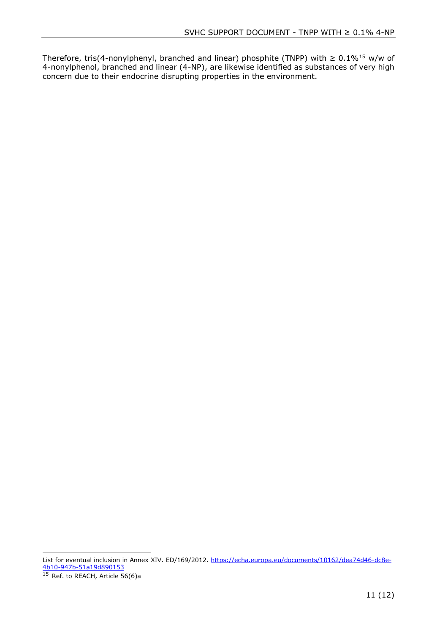Therefore, tris(4-nonylphenyl, branched and linear) phosphite (TNPP) with  $\geq 0.1\%$ <sup>15</sup> w/w of 4-nonylphenol, branched and linear (4-NP), are likewise identified as substances of very high concern due to their endocrine disrupting properties in the environment.

List for eventual inclusion in Annex XIV. ED/169/2012. [https://echa.europa.eu/documents/10162/dea74d46-dc8e-](https://echa.europa.eu/documents/10162/dea74d46-dc8e-4b10-947b-51a19d890153)[4b10-947b-51a19d890153](https://echa.europa.eu/documents/10162/dea74d46-dc8e-4b10-947b-51a19d890153)

<sup>15</sup> Ref. to REACH, Article 56(6)a